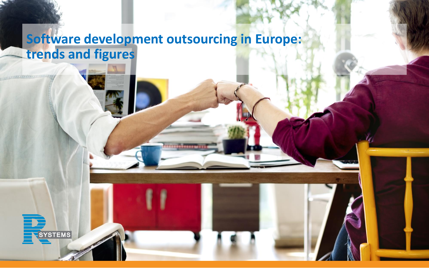# **Software development outsourcing in Europe: trends and figures**

**SYSTEMS**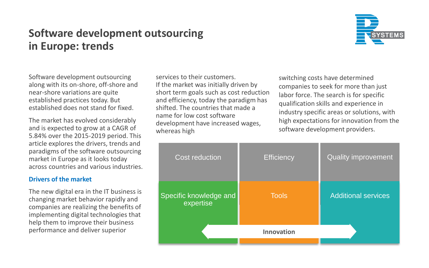### **Software development outsourcing in Europe: trends**



Software development outsourcing along with its on-shore, off-shore and near-shore variations are quite established practices today. But established does not stand for fixed.

The market has evolved considerably and is expected to grow at a CAGR of 5.84% over the 2015-2019 period. This article explores the drivers, trends and paradigms of the software outsourcing market in Europe as it looks today across countries and various industries.

### **Drivers of the market**

The new digital era in the IT business is changing market behavior rapidly and companies are realizing the benefits of implementing digital technologies that help them to improve their business performance and deliver superior

services to their customers. If the market was initially driven by short term goals such as cost reduction and efficiency, today the paradigm has shifted. The countries that made a name for low cost software development have increased wages, whereas high

switching costs have determined companies to seek for more than just labor force. The search is for specific qualification skills and experience in industry specific areas or solutions, with high expectations for innovation from the software development providers.

| <b>Cost reduction</b>               | <b>Efficiency</b> | <b>Quality improvement</b> |
|-------------------------------------|-------------------|----------------------------|
| Specific knowledge and<br>expertise | <b>Tools</b>      | <b>Additional services</b> |
|                                     | Innovation        |                            |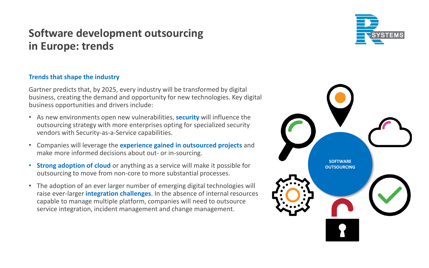## **Software development outsourcing in Europe: trends**

### **Trends that shape the industry**

Gartner predicts that, by 2025, every industry will be transformed by digital business, creating the demand and opportunity for new technologies. Key digital business opportunities and drivers include:

- As new environments open new vulnerabilities, **security** will influence the outsourcing strategy with more enterprises opting for specialized security vendors with Security-as-a-Service capabilities.
- Companies will leverage the **experience gained in outsourced projects** and make more informed decisions about out- or in-sourcing.
- **Strong adoption of cloud** or anything as a service will make it possible for outsourcing to move from non-core to more substantial processes.
- The adoption of an ever larger number of emerging digital technologies will raise ever-larger **integration challenges**. In the absence of internal resources capable to manage multiple platform, companies will need to outsource service integration, incident management and change management.



**SOFTWARE OUTSOURCING**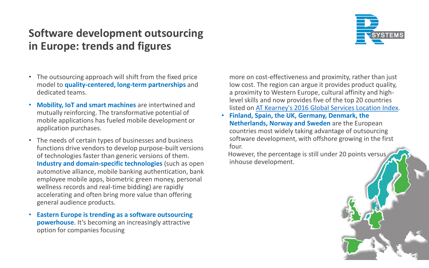## **Software development outsourcing in Europe: trends and figures**



- The outsourcing approach will shift from the fixed price model to **quality-centered, long-term partnerships** and dedicated teams.
- **Mobility, IoT and smart machines** are intertwined and mutually reinforcing. The transformative potential of mobile applications has fueled mobile development or application purchases.
- The needs of certain types of businesses and business functions drive vendors to develop purpose-built versions of technologies faster than generic versions of them. **Industry and domain-specific technologies** (such as open automotive alliance, mobile banking authentication, bank employee mobile apps, biometric green money, personal wellness records and real-time bidding) are rapidly accelerating and often bring more value than offering general audience products.
- **Eastern Europe is trending as a software outsourcing powerhouse**. It's becoming an increasingly attractive option for companies focusing

more on cost-effectiveness and proximity, rather than just low cost. The region can argue it provides product quality, a proximity to Western Europe, cultural affinity and highlevel skills and now provides five of the top 20 countries listed on [AT Kearney's 2016 Global Services Location Index.](https://www.atkearney.com/strategic-it/global-services-location-index)

• **Finland, Spain, the UK, Germany, Denmark, the Netherlands, Norway and Sweden** are the European countries most widely taking advantage of outsourcing software development, with offshore growing in the first four.

However, the percentage is still under 20 points versus inhouse development.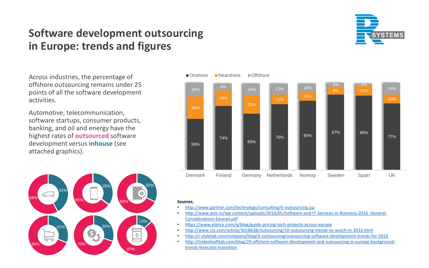## **Software development outsourcing in Europe: trends and figures**

Across industries, the percentage of offshore outsourcing remains under 25 points of all the software development activities.

Automotive, telecommunication, software startups, consumer products, banking, and oil and energy have the highest rates of **outsourced** software development versus **inhouse** (see attached graphics).





#### **Sources**:

- <http://www.gartner.com/technology/consulting/it-outsourcing.jsp>
- [http://www.anis.ro/wp-content/uploads/2016/05/Software-and-IT-Services-in-Romania-2016\\_General-](http://www.anis.ro/wp-content/uploads/2016/05/Software-and-IT-Services-in-Romania-2016_General-Considerations-Excerpt.pdf)Considerations-Excerpt.pdf
- <https://www.elance.com/q/blog/guide-pricing-tech-projects-across-europe>
- <http://www.cio.com/article/3018638/outsourcing/10-outsourcing-trends-to-watch-in-2016.html>
- <http://r-stylelab.com/company/blog/it-outsoursing/outsourcing-software-development-trends-for-2016>
- [http://tridentsoftlab.com/blog/29-offshore-software-development-and-outsourcing-in-europe-background](http://tridentsoftlab.com/blog/29-offshore-software-development-and-outsourcing-in-europe-background-trends-forecasts-transition)trends-forecasts-transition